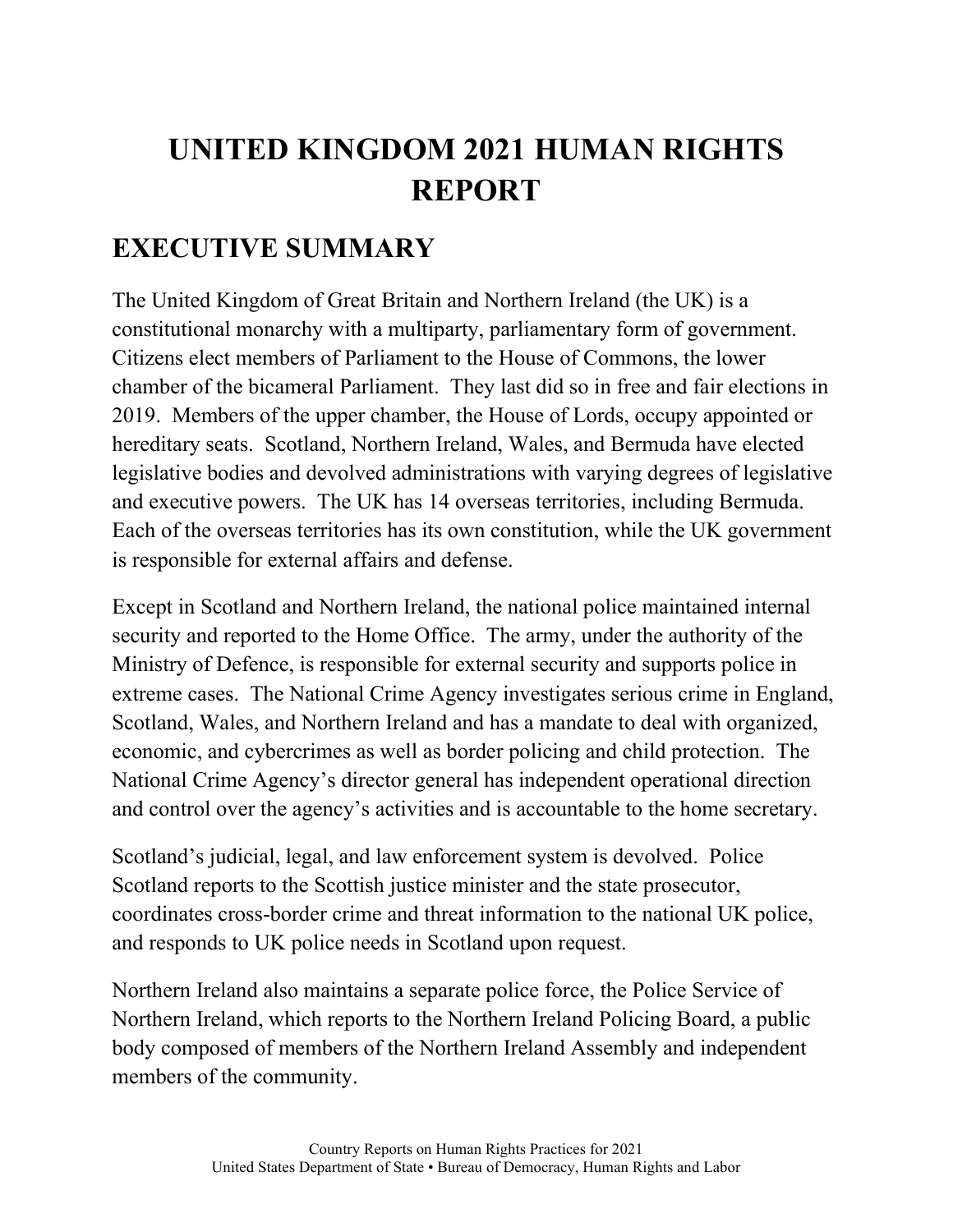## **UNITED KINGDOM 2021 HUMAN RIGHTS REPORT**

## **EXECUTIVE SUMMARY**

The United Kingdom of Great Britain and Northern Ireland (the UK) is a constitutional monarchy with a multiparty, parliamentary form of government. Citizens elect members of Parliament to the House of Commons, the lower chamber of the bicameral Parliament. They last did so in free and fair elections in 2019. Members of the upper chamber, the House of Lords, occupy appointed or hereditary seats. Scotland, Northern Ireland, Wales, and Bermuda have elected legislative bodies and devolved administrations with varying degrees of legislative and executive powers. The UK has 14 overseas territories, including Bermuda. Each of the overseas territories has its own constitution, while the UK government is responsible for external affairs and defense.

Except in Scotland and Northern Ireland, the national police maintained internal security and reported to the Home Office. The army, under the authority of the Ministry of Defence, is responsible for external security and supports police in extreme cases. The National Crime Agency investigates serious crime in England, Scotland, Wales, and Northern Ireland and has a mandate to deal with organized, economic, and cybercrimes as well as border policing and child protection. The National Crime Agency's director general has independent operational direction and control over the agency's activities and is accountable to the home secretary.

Scotland's judicial, legal, and law enforcement system is devolved. Police Scotland reports to the Scottish justice minister and the state prosecutor, coordinates cross-border crime and threat information to the national UK police, and responds to UK police needs in Scotland upon request.

Northern Ireland also maintains a separate police force, the Police Service of Northern Ireland, which reports to the Northern Ireland Policing Board, a public body composed of members of the Northern Ireland Assembly and independent members of the community.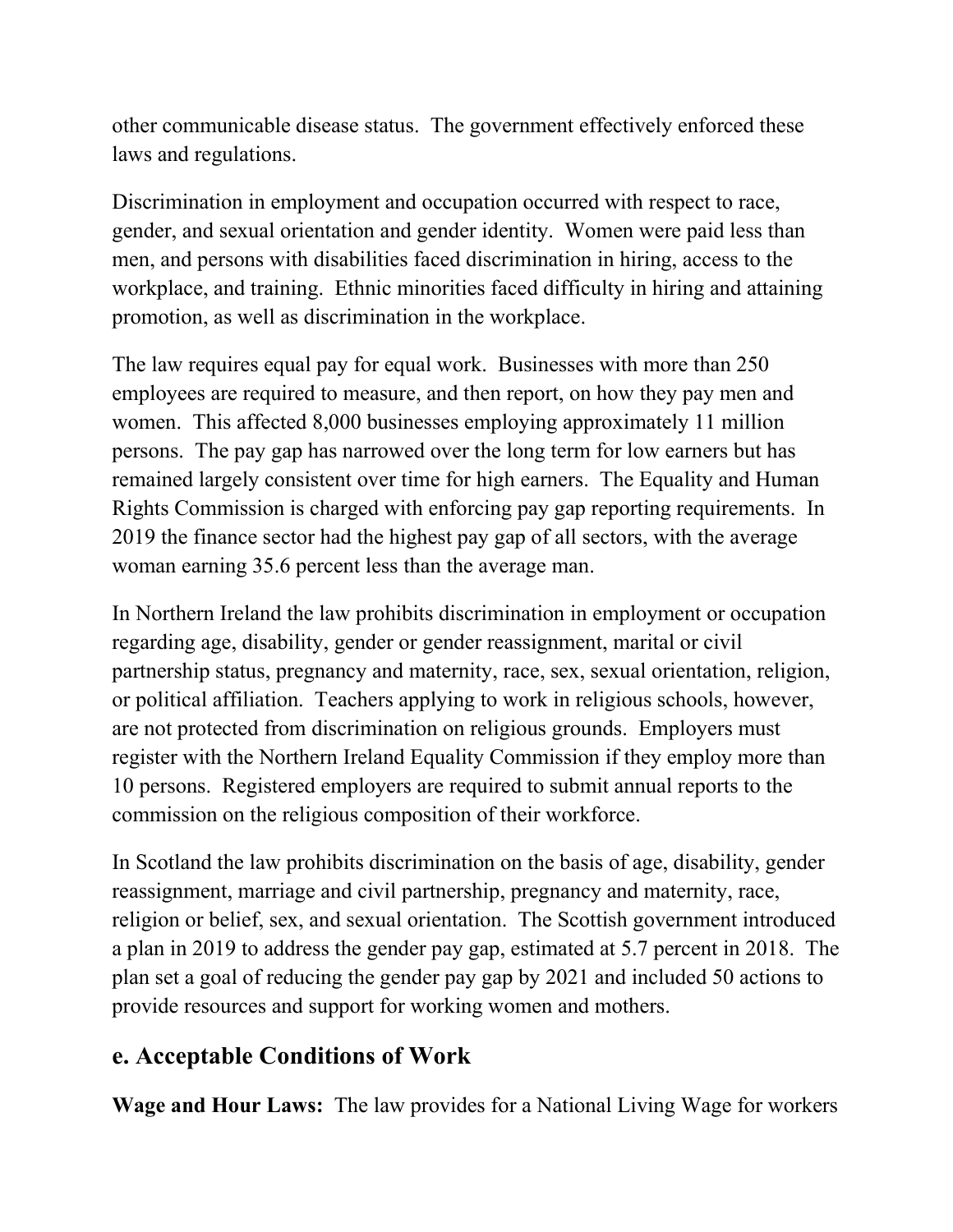other communicable disease status. The government effectively enforced these laws and regulations.

Discrimination in employment and occupation occurred with respect to race, gender, and sexual orientation and gender identity. Women were paid less than men, and persons with disabilities faced discrimination in hiring, access to the workplace, and training. Ethnic minorities faced difficulty in hiring and attaining promotion, as well as discrimination in the workplace.

The law requires equal pay for equal work. Businesses with more than 250 employees are required to measure, and then report, on how they pay men and women. This affected 8,000 businesses employing approximately 11 million persons. The pay gap has narrowed over the long term for low earners but has remained largely consistent over time for high earners. The Equality and Human Rights Commission is charged with enforcing pay gap reporting requirements. In 2019 the finance sector had the highest pay gap of all sectors, with the average woman earning 35.6 percent less than the average man.

In Northern Ireland the law prohibits discrimination in employment or occupation regarding age, disability, gender or gender reassignment, marital or civil partnership status, pregnancy and maternity, race, sex, sexual orientation, religion, or political affiliation. Teachers applying to work in religious schools, however, are not protected from discrimination on religious grounds. Employers must register with the Northern Ireland Equality Commission if they employ more than 10 persons. Registered employers are required to submit annual reports to the commission on the religious composition of their workforce.

In Scotland the law prohibits discrimination on the basis of age, disability, gender reassignment, marriage and civil partnership, pregnancy and maternity, race, religion or belief, sex, and sexual orientation. The Scottish government introduced a plan in 2019 to address the gender pay gap, estimated at 5.7 percent in 2018. The plan set a goal of reducing the gender pay gap by 2021 and included 50 actions to provide resources and support for working women and mothers.

## **e. Acceptable Conditions of Work**

**Wage and Hour Laws:** The law provides for a National Living Wage for workers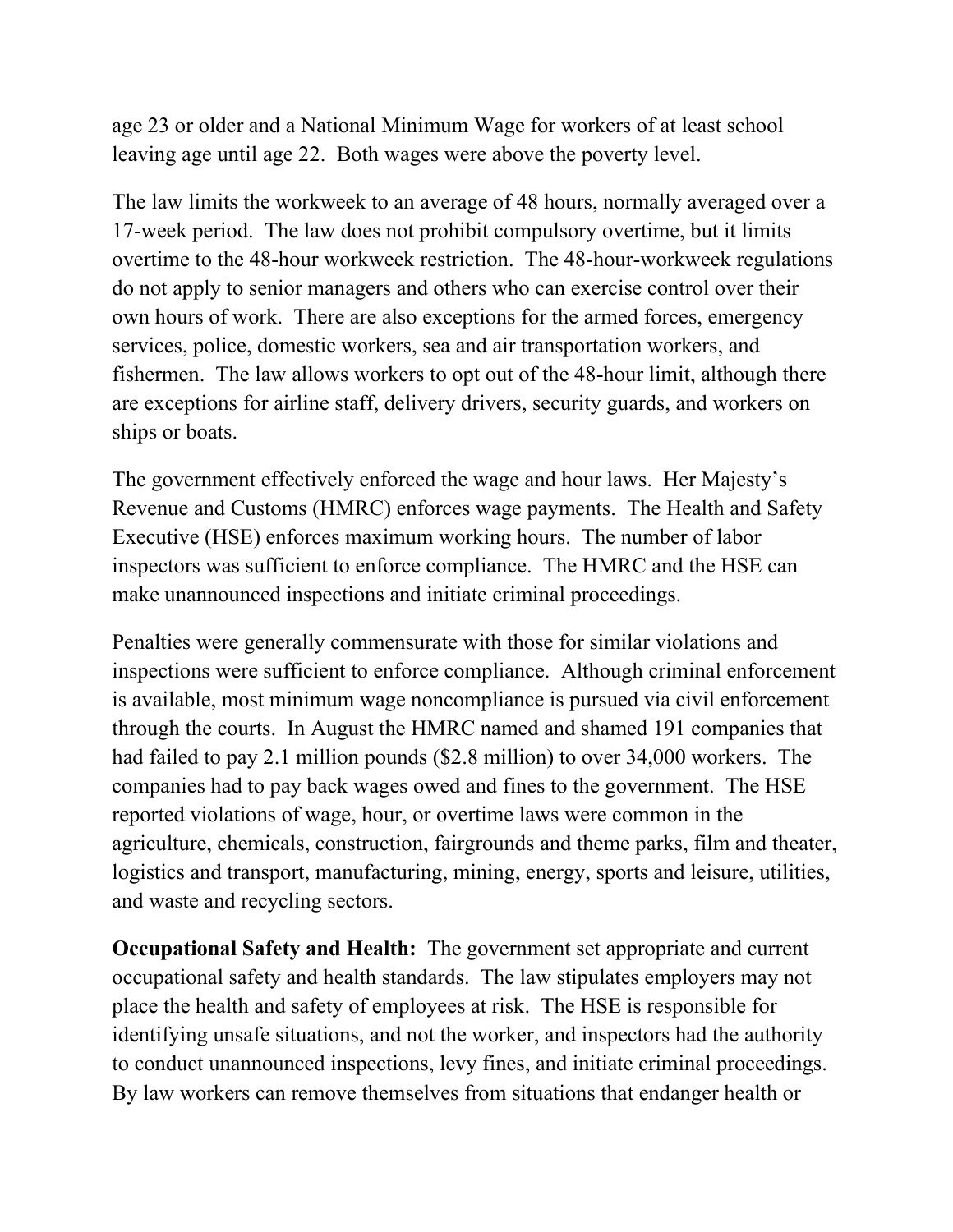age 23 or older and a National Minimum Wage for workers of at least school leaving age until age 22. Both wages were above the poverty level.

The law limits the workweek to an average of 48 hours, normally averaged over a 17-week period. The law does not prohibit compulsory overtime, but it limits overtime to the 48-hour workweek restriction. The 48-hour-workweek regulations do not apply to senior managers and others who can exercise control over their own hours of work. There are also exceptions for the armed forces, emergency services, police, domestic workers, sea and air transportation workers, and fishermen. The law allows workers to opt out of the 48-hour limit, although there are exceptions for airline staff, delivery drivers, security guards, and workers on ships or boats.

The government effectively enforced the wage and hour laws. Her Majesty's Revenue and Customs (HMRC) enforces wage payments. The Health and Safety Executive (HSE) enforces maximum working hours. The number of labor inspectors was sufficient to enforce compliance. The HMRC and the HSE can make unannounced inspections and initiate criminal proceedings.

Penalties were generally commensurate with those for similar violations and inspections were sufficient to enforce compliance. Although criminal enforcement is available, most minimum wage noncompliance is pursued via civil enforcement through the courts. In August the HMRC named and shamed 191 companies that had failed to pay 2.1 million pounds (\$2.8 million) to over 34,000 workers. The companies had to pay back wages owed and fines to the government. The HSE reported violations of wage, hour, or overtime laws were common in the agriculture, chemicals, construction, fairgrounds and theme parks, film and theater, logistics and transport, manufacturing, mining, energy, sports and leisure, utilities, and waste and recycling sectors.

**Occupational Safety and Health:** The government set appropriate and current occupational safety and health standards. The law stipulates employers may not place the health and safety of employees at risk. The HSE is responsible for identifying unsafe situations, and not the worker, and inspectors had the authority to conduct unannounced inspections, levy fines, and initiate criminal proceedings. By law workers can remove themselves from situations that endanger health or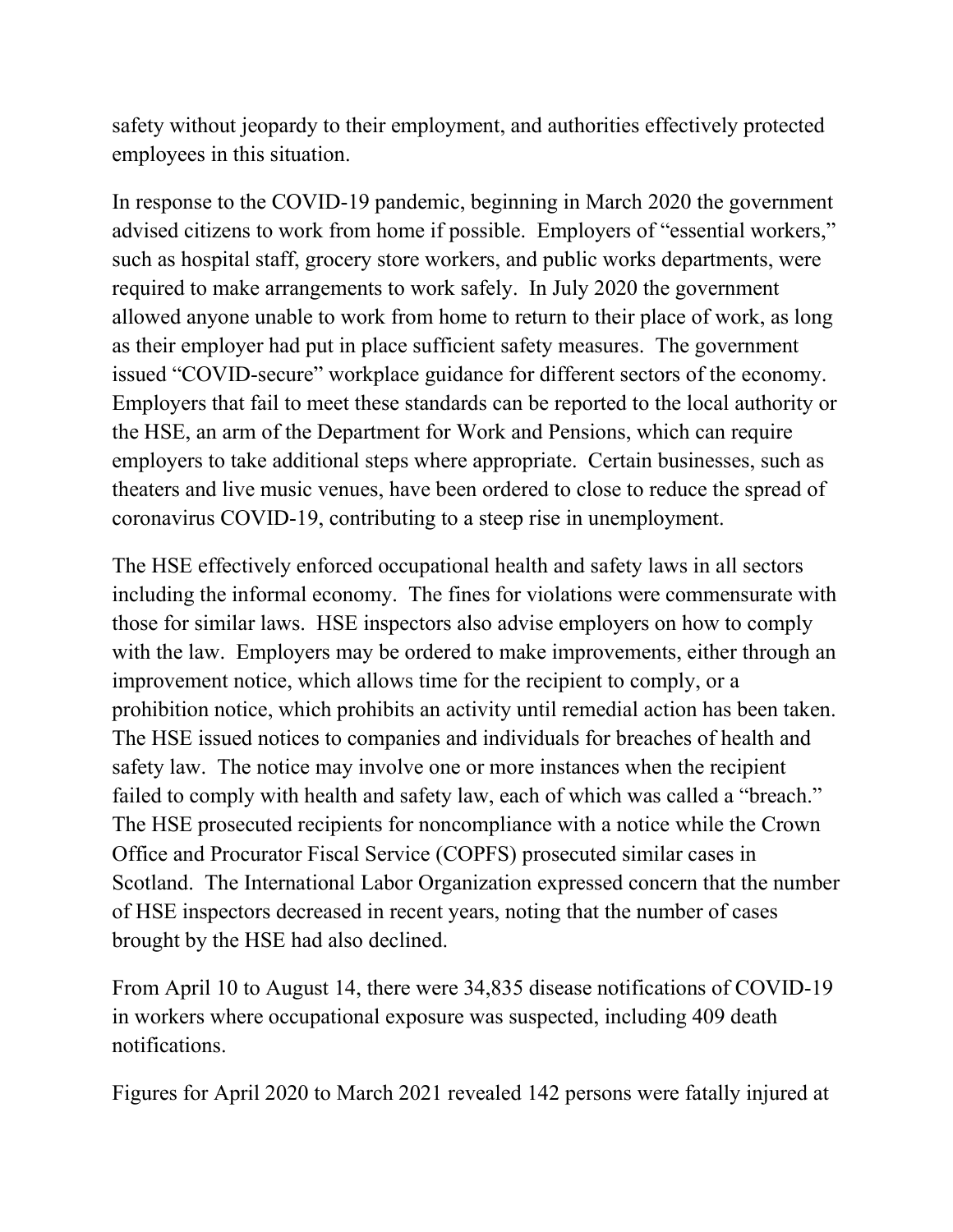safety without jeopardy to their employment, and authorities effectively protected employees in this situation.

In response to the COVID-19 pandemic, beginning in March 2020 the government advised citizens to work from home if possible. Employers of "essential workers," such as hospital staff, grocery store workers, and public works departments, were required to make arrangements to work safely. In July 2020 the government allowed anyone unable to work from home to return to their place of work, as long as their employer had put in place sufficient safety measures. The government issued "COVID-secure" workplace guidance for different sectors of the economy. Employers that fail to meet these standards can be reported to the local authority or the HSE, an arm of the Department for Work and Pensions, which can require employers to take additional steps where appropriate. Certain businesses, such as theaters and live music venues, have been ordered to close to reduce the spread of coronavirus COVID-19, contributing to a steep rise in unemployment.

The HSE effectively enforced occupational health and safety laws in all sectors including the informal economy. The fines for violations were commensurate with those for similar laws. HSE inspectors also advise employers on how to comply with the law. Employers may be ordered to make improvements, either through an improvement notice, which allows time for the recipient to comply, or a prohibition notice, which prohibits an activity until remedial action has been taken. The HSE issued notices to companies and individuals for breaches of health and safety law. The notice may involve one or more instances when the recipient failed to comply with health and safety law, each of which was called a "breach." The HSE prosecuted recipients for noncompliance with a notice while the Crown Office and Procurator Fiscal Service (COPFS) prosecuted similar cases in Scotland. The International Labor Organization expressed concern that the number of HSE inspectors decreased in recent years, noting that the number of cases brought by the HSE had also declined.

From April 10 to August 14, there were 34,835 disease notifications of COVID-19 in workers where occupational exposure was suspected, including 409 death notifications.

Figures for April 2020 to March 2021 revealed 142 persons were fatally injured at